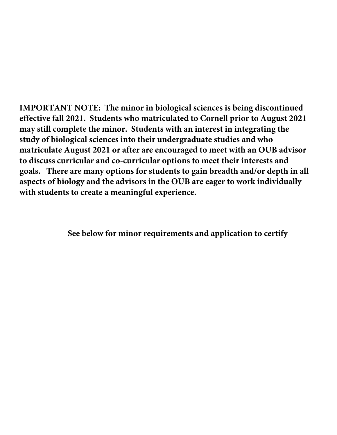**IMPORTANT NOTE: The minor in biological sciences is being discontinued effective fall 2021. Students who matriculated to Cornell prior to August 2021 may still complete the minor. Students with an interest in integrating the study of biological sciences into their undergraduate studies and who matriculate August 2021 or after are encouraged to meet with an OUB advisor to discuss curricular and co-curricular options to meet their interests and goals. There are many options for students to gain breadth and/or depth in all aspects of biology and the advisors in the OUB are eager to work individually with students to create a meaningful experience.**

**See below for minor requirements and application to certify**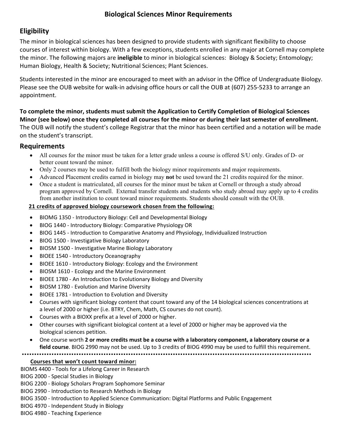# **Biological Sciences Minor Requirements**

# **Eligibility**

 courses of interest within biology. With a few exceptions, students enrolled in any major at Cornell may complete The minor in biological sciences has been designed to provide students with significant flexibility to choose the minor. The following majors are **ineligible** to minor in biological sciences: Biology & Society; Entomology; Human Biology, Health & Society; Nutritional Sciences; Plant Sciences.

 Students interested in the minor are encouraged to meet with an advisor in the Office of Undergraduate Biology. Please see the OUB website for walk-in advising office hours or call the OUB at (607) 255-5233 to arrange an appointment.

 **To complete the minor, students must submit the Application to Certify Completion of Biological Sciences Minor (see below) once they completed all courses for the minor or during their last semester of enrollment.**  The OUB will notify the student's college Registrar that the minor has been certified and a notation will be made on the student's transcript.

# **Requirements**

- All courses for the minor must be taken for a letter grade unless a course is offered S/U only. Grades of D- or better count toward the minor.
- Only 2 courses may be used to fulfill both the biology minor requirements and major requirements.
- Advanced Placement credits earned in biology may **not** be used toward the 21 credits required for the minor.
- from another institution to count toward minor requirements. Students should consult with the OUB. • Once a student is matriculated, all courses for the minor must be taken at Cornell or through a study abroad program approved by Cornell. External transfer students and students who study abroad may apply up to 4 credits

### **21 credits of approved biology coursework chosen from the following:**

- BIOMG 1350 Introductory Biology: Cell and Developmental Biology
- BIOG 1440 Introductory Biology: Comparative Physiology OR
- BIOG 1445 Introduction to Comparative Anatomy and Physiology, Individualized Instruction
- BIOG 1500 Investigative Biology Laboratory
- BIOSM 1500 Investigative Marine Biology Laboratory
- BIOEE 1540 Introductory Oceanography
- BIOEE 1610 Introductory Biology: Ecology and the Environment
- BIOSM 1610 Ecology and the Marine Environment
- BIOEE 1780 An Introduction to Evolutionary Biology and Diversity
- BIOSM 1780 Evolution and Marine Diversity
- BIOEE 1781 Introduction to Evolution and Diversity
- • Courses with significant biology content that count toward any of the 14 biological sciences concentrations at a level of 2000 or higher (i.e. BTRY, Chem, Math, CS courses do not count).
- Courses with a BIOXX prefix at a level of 2000 or higher.
- Other courses with significant biological content at a level of 2000 or higher may be approved via the biological sciences petition.
- • One course worth **2 or more credits must be a course with a laboratory component, a laboratory course or a field course**. BIOG 2990 may not be used. Up to 3 credits of BIOG 4990 may be used to fulfill this requirement.

#### **Courses that won't count toward minor:**

BIOMS 4400 - Tools for a Lifelong Career in Research

BIOG 2000 - Special Studies in Biology

BIOG 2200 - Biology Scholars Program Sophomore Seminar

BIOG 2990 - Introduction to Research Methods in Biology

BIOG 3500 - Introduction to Applied Science Communication: Digital Platforms and Public Engagement

BIOG 4970 - Independent Study in Biology

BIOG 4980 - Teaching Experience